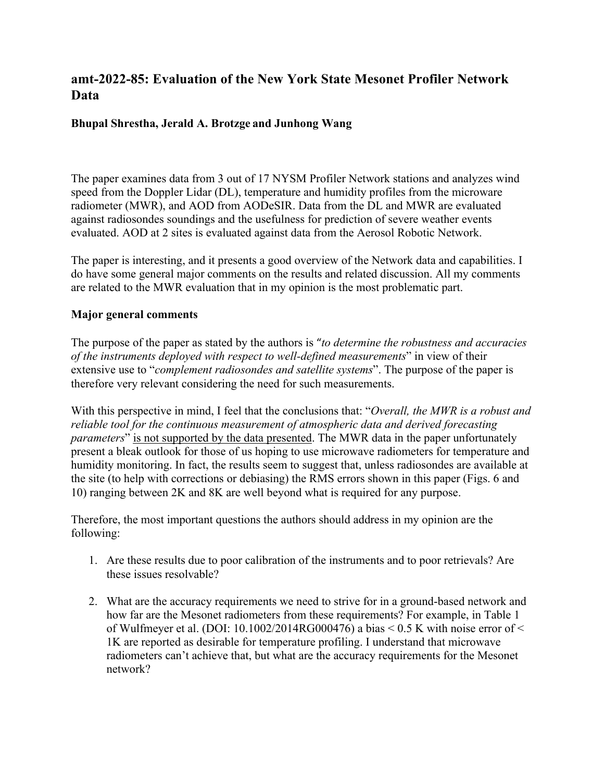# **amt-2022-85: Evaluation of the New York State Mesonet Profiler Network Data**

## **Bhupal Shrestha, Jerald A. Brotzge and Junhong Wang**

The paper examines data from 3 out of 17 NYSM Profiler Network stations and analyzes wind speed from the Doppler Lidar (DL), temperature and humidity profiles from the microware radiometer (MWR), and AOD from AODeSIR. Data from the DL and MWR are evaluated against radiosondes soundings and the usefulness for prediction of severe weather events evaluated. AOD at 2 sites is evaluated against data from the Aerosol Robotic Network.

The paper is interesting, and it presents a good overview of the Network data and capabilities. I do have some general major comments on the results and related discussion. All my comments are related to the MWR evaluation that in my opinion is the most problematic part.

## **Major general comments**

The purpose of the paper as stated by the authors is "*to determine the robustness and accuracies of the instruments deployed with respect to well-defined measurements*" in view of their extensive use to "*complement radiosondes and satellite systems*". The purpose of the paper is therefore very relevant considering the need for such measurements.

With this perspective in mind, I feel that the conclusions that: "*Overall, the MWR is a robust and reliable tool for the continuous measurement of atmospheric data and derived forecasting parameters*" is not supported by the data presented. The MWR data in the paper unfortunately present a bleak outlook for those of us hoping to use microwave radiometers for temperature and humidity monitoring. In fact, the results seem to suggest that, unless radiosondes are available at the site (to help with corrections or debiasing) the RMS errors shown in this paper (Figs. 6 and 10) ranging between 2K and 8K are well beyond what is required for any purpose.

Therefore, the most important questions the authors should address in my opinion are the following:

- 1. Are these results due to poor calibration of the instruments and to poor retrievals? Are these issues resolvable?
- 2. What are the accuracy requirements we need to strive for in a ground-based network and how far are the Mesonet radiometers from these requirements? For example, in Table 1 of Wulfmeyer et al. (DOI: 10.1002/2014RG000476) a bias < 0.5 K with noise error of < 1K are reported as desirable for temperature profiling. I understand that microwave radiometers can't achieve that, but what are the accuracy requirements for the Mesonet network?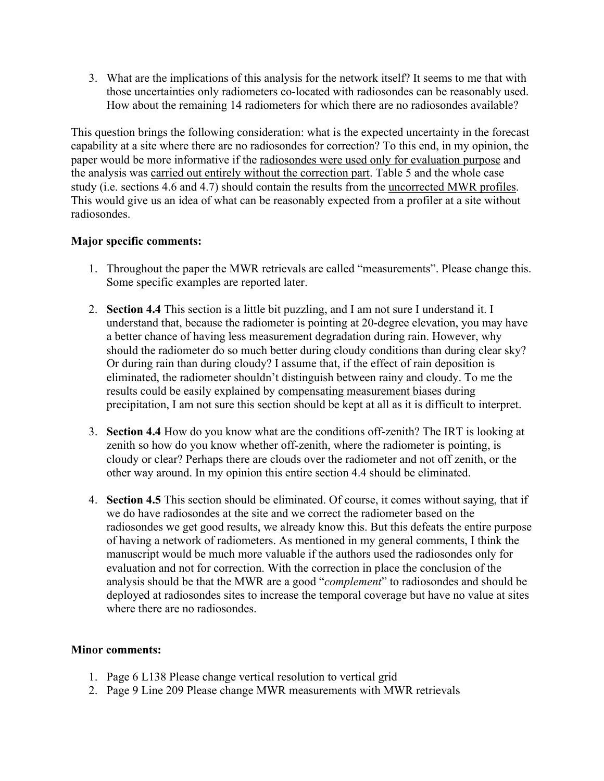3. What are the implications of this analysis for the network itself? It seems to me that with those uncertainties only radiometers co-located with radiosondes can be reasonably used. How about the remaining 14 radiometers for which there are no radiosondes available?

This question brings the following consideration: what is the expected uncertainty in the forecast capability at a site where there are no radiosondes for correction? To this end, in my opinion, the paper would be more informative if the radiosondes were used only for evaluation purpose and the analysis was carried out entirely without the correction part. Table 5 and the whole case study (i.e. sections 4.6 and 4.7) should contain the results from the uncorrected MWR profiles. This would give us an idea of what can be reasonably expected from a profiler at a site without radiosondes.

### **Major specific comments:**

- 1. Throughout the paper the MWR retrievals are called "measurements". Please change this. Some specific examples are reported later.
- 2. **Section 4.4** This section is a little bit puzzling, and I am not sure I understand it. I understand that, because the radiometer is pointing at 20-degree elevation, you may have a better chance of having less measurement degradation during rain. However, why should the radiometer do so much better during cloudy conditions than during clear sky? Or during rain than during cloudy? I assume that, if the effect of rain deposition is eliminated, the radiometer shouldn't distinguish between rainy and cloudy. To me the results could be easily explained by compensating measurement biases during precipitation, I am not sure this section should be kept at all as it is difficult to interpret.
- 3. **Section 4.4** How do you know what are the conditions off-zenith? The IRT is looking at zenith so how do you know whether off-zenith, where the radiometer is pointing, is cloudy or clear? Perhaps there are clouds over the radiometer and not off zenith, or the other way around. In my opinion this entire section 4.4 should be eliminated.
- 4. **Section 4.5** This section should be eliminated. Of course, it comes without saying, that if we do have radiosondes at the site and we correct the radiometer based on the radiosondes we get good results, we already know this. But this defeats the entire purpose of having a network of radiometers. As mentioned in my general comments, I think the manuscript would be much more valuable if the authors used the radiosondes only for evaluation and not for correction. With the correction in place the conclusion of the analysis should be that the MWR are a good "*complement*" to radiosondes and should be deployed at radiosondes sites to increase the temporal coverage but have no value at sites where there are no radiosondes.

#### **Minor comments:**

- 1. Page 6 L138 Please change vertical resolution to vertical grid
- 2. Page 9 Line 209 Please change MWR measurements with MWR retrievals